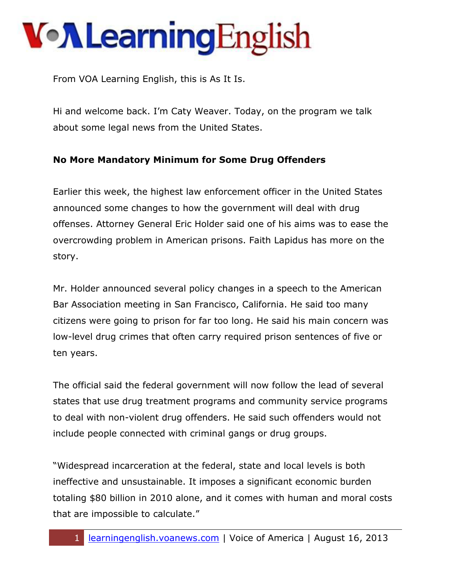From VOA Learning English, this is As It Is.

Hi and welcome back. I'm Caty Weaver. Today, on the program we talk about some legal news from the United States.

#### **No More Mandatory Minimum for Some Drug Offenders**

Earlier this week, the highest law enforcement officer in the United States announced some changes to how the government will deal with drug offenses. Attorney General Eric Holder said one of his aims was to ease the overcrowding problem in American prisons. Faith Lapidus has more on the story.

Mr. Holder announced several policy changes in a speech to the American Bar Association meeting in San Francisco, California. He said too many citizens were going to prison for far too long. He said his main concern was low-level drug crimes that often carry required prison sentences of five or ten years.

The official said the federal government will now follow the lead of several states that use drug treatment programs and community service programs to deal with non-violent drug offenders. He said such offenders would not include people connected with criminal gangs or drug groups.

"Widespread incarceration at the federal, state and local levels is both ineffective and unsustainable. It imposes a significant economic burden totaling \$80 billion in 2010 alone, and it comes with human and moral costs that are impossible to calculate."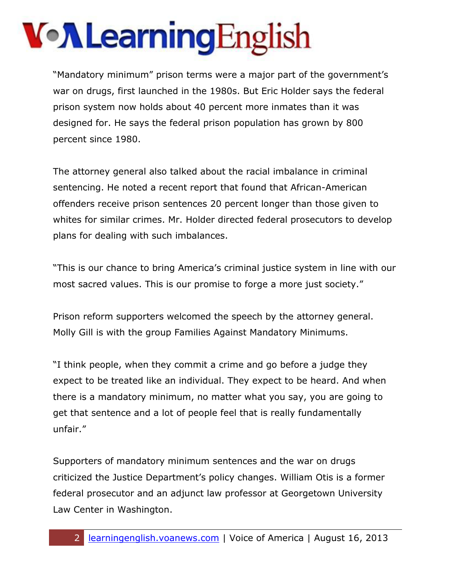"Mandatory minimum" prison terms were a major part of the government's war on drugs, first launched in the 1980s. But Eric Holder says the federal prison system now holds about 40 percent more inmates than it was designed for. He says the federal prison population has grown by 800 percent since 1980.

The attorney general also talked about the racial imbalance in criminal sentencing. He noted a recent report that found that African-American offenders receive prison sentences 20 percent longer than those given to whites for similar crimes. Mr. Holder directed federal prosecutors to develop plans for dealing with such imbalances.

"This is our chance to bring America's criminal justice system in line with our most sacred values. This is our promise to forge a more just society."

Prison reform supporters welcomed the speech by the attorney general. Molly Gill is with the group Families Against Mandatory Minimums.

"I think people, when they commit a crime and go before a judge they expect to be treated like an individual. They expect to be heard. And when there is a mandatory minimum, no matter what you say, you are going to get that sentence and a lot of people feel that is really fundamentally unfair."

Supporters of mandatory minimum sentences and the war on drugs criticized the Justice Department's policy changes. William Otis is a former federal prosecutor and an adjunct law professor at Georgetown University Law Center in Washington.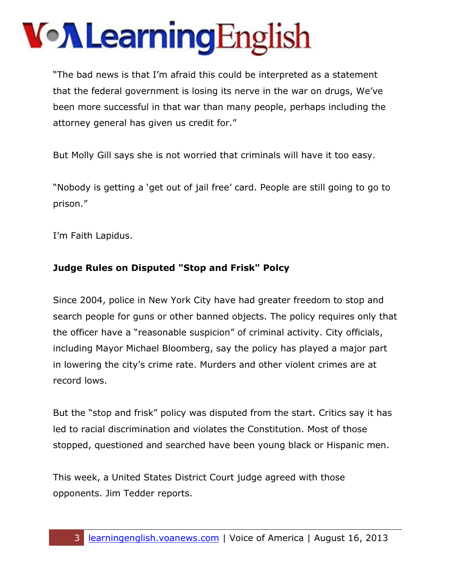"The bad news is that I'm afraid this could be interpreted as a statement that the federal government is losing its nerve in the war on drugs, We've been more successful in that war than many people, perhaps including the attorney general has given us credit for."

But Molly Gill says she is not worried that criminals will have it too easy.

"Nobody is getting a 'get out of jail free' card. People are still going to go to prison."

I'm Faith Lapidus.

#### **Judge Rules on Disputed "Stop and Frisk" Polcy**

Since 2004, police in New York City have had greater freedom to stop and search people for guns or other banned objects. The policy requires only that the officer have a "reasonable suspicion" of criminal activity. City officials, including Mayor Michael Bloomberg, say the policy has played a major part in lowering the city's crime rate. Murders and other violent crimes are at record lows.

But the "stop and frisk" policy was disputed from the start. Critics say it has led to racial discrimination and violates the Constitution. Most of those stopped, questioned and searched have been young black or Hispanic men.

This week, a United States District Court judge agreed with those opponents. Jim Tedder reports.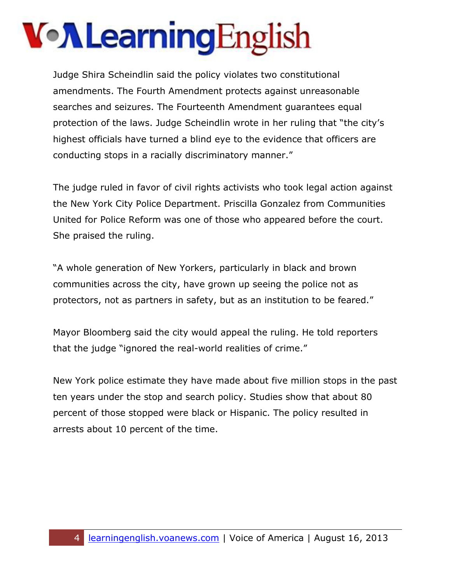Judge Shira Scheindlin said the policy violates two constitutional amendments. The Fourth Amendment protects against unreasonable searches and seizures. The Fourteenth Amendment guarantees equal protection of the laws. Judge Scheindlin wrote in her ruling that "the city's highest officials have turned a blind eye to the evidence that officers are conducting stops in a racially discriminatory manner."

The judge ruled in favor of civil rights activists who took legal action against the New York City Police Department. Priscilla Gonzalez from Communities United for Police Reform was one of those who appeared before the court. She praised the ruling.

"A whole generation of New Yorkers, particularly in black and brown communities across the city, have grown up seeing the police not as protectors, not as partners in safety, but as an institution to be feared."

Mayor Bloomberg said the city would appeal the ruling. He told reporters that the judge "ignored the real-world realities of crime."

New York police estimate they have made about five million stops in the past ten years under the stop and search policy. Studies show that about 80 percent of those stopped were black or Hispanic. The policy resulted in arrests about 10 percent of the time.